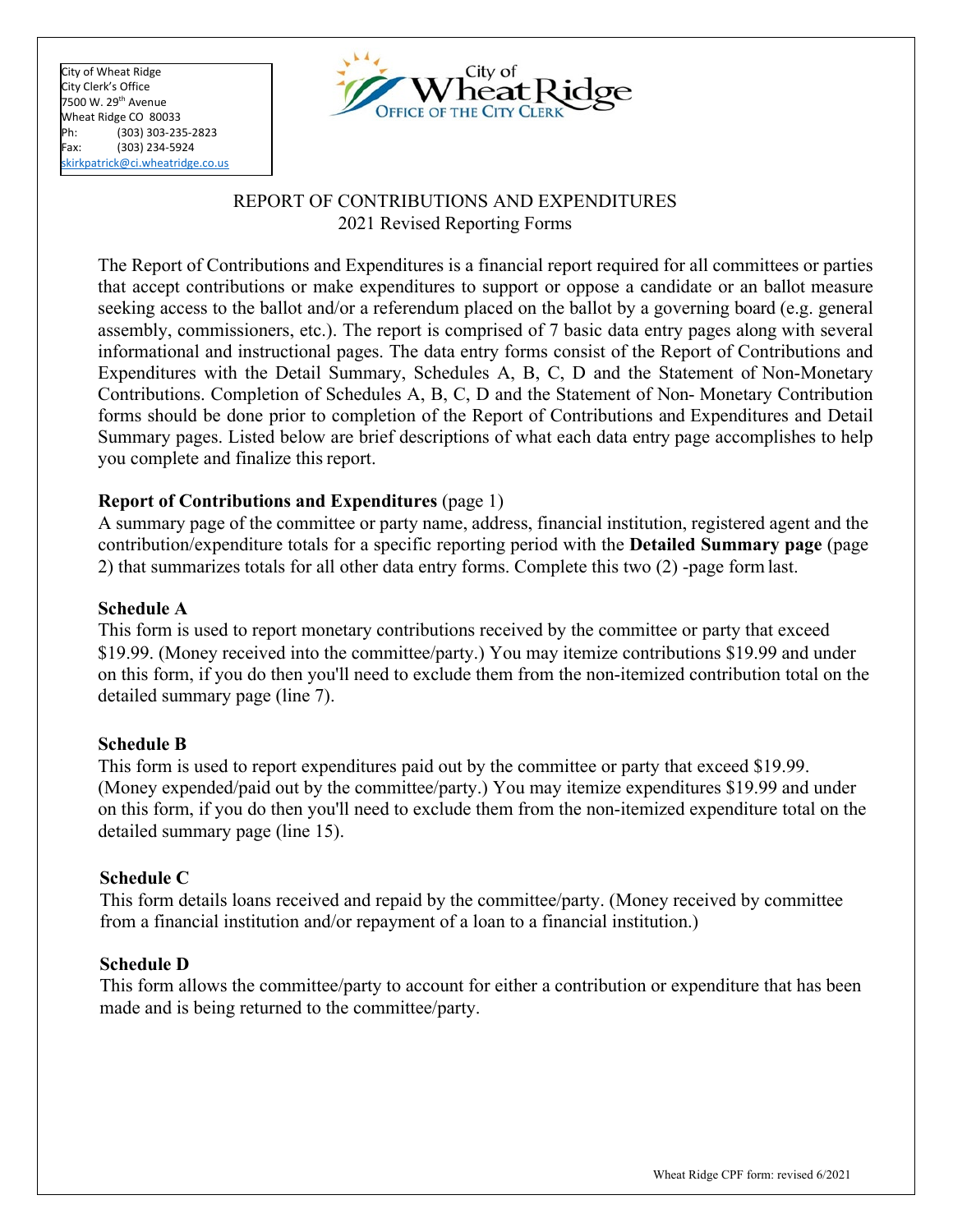City of Wheat Ridge City Clerk's Office 7500 W. 29th Avenue Wheat Ridge CO 80033 Ph: (303) 303-235-2823 Fax: (303) 234-5924 [skirkpatrick@ci.wheatridge.co.us](mailto:skirkpatrick@ci.wheatridge.co.us)



# REPORT OF CONTRIBUTIONS AND EXPENDITURES 2021 Revised Reporting Forms

The Report of Contributions and Expenditures is a financial report required for all committees or parties that accept contributions or make expenditures to support or oppose a candidate or an ballot measure seeking access to the ballot and/or a referendum placed on the ballot by a governing board (e.g. general assembly, commissioners, etc.). The report is comprised of 7 basic data entry pages along with several informational and instructional pages. The data entry forms consist of the Report of Contributions and Expenditures with the Detail Summary, Schedules A, B, C, D and the Statement of Non-Monetary Contributions. Completion of Schedules A, B, C, D and the Statement of Non- Monetary Contribution forms should be done prior to completion of the Report of Contributions and Expenditures and Detail Summary pages. Listed below are brief descriptions of what each data entry page accomplishes to help you complete and finalize this report.

# **Report of Contributions and Expenditures** (page 1)

A summary page of the committee or party name, address, financial institution, registered agent and the contribution/expenditure totals for a specific reporting period with the **Detailed Summary page** (page 2) that summarizes totals for all other data entry forms. Complete this two (2) -page formlast.

# **Schedule A**

This form is used to report monetary contributions received by the committee or party that exceed \$19.99. (Money received into the committee/party.) You may itemize contributions \$19.99 and under on this form, if you do then you'll need to exclude them from the non-itemized contribution total on the detailed summary page (line 7).

# **Schedule B**

This form is used to report expenditures paid out by the committee or party that exceed \$19.99. (Money expended/paid out by the committee/party.) You may itemize expenditures \$19.99 and under on this form, if you do then you'll need to exclude them from the non-itemized expenditure total on the detailed summary page (line 15).

# **Schedule C**

This form details loans received and repaid by the committee/party. (Money received by committee from a financial institution and/or repayment of a loan to a financial institution.)

# **Schedule D**

This form allows the committee/party to account for either a contribution or expenditure that has been made and is being returned to the committee/party.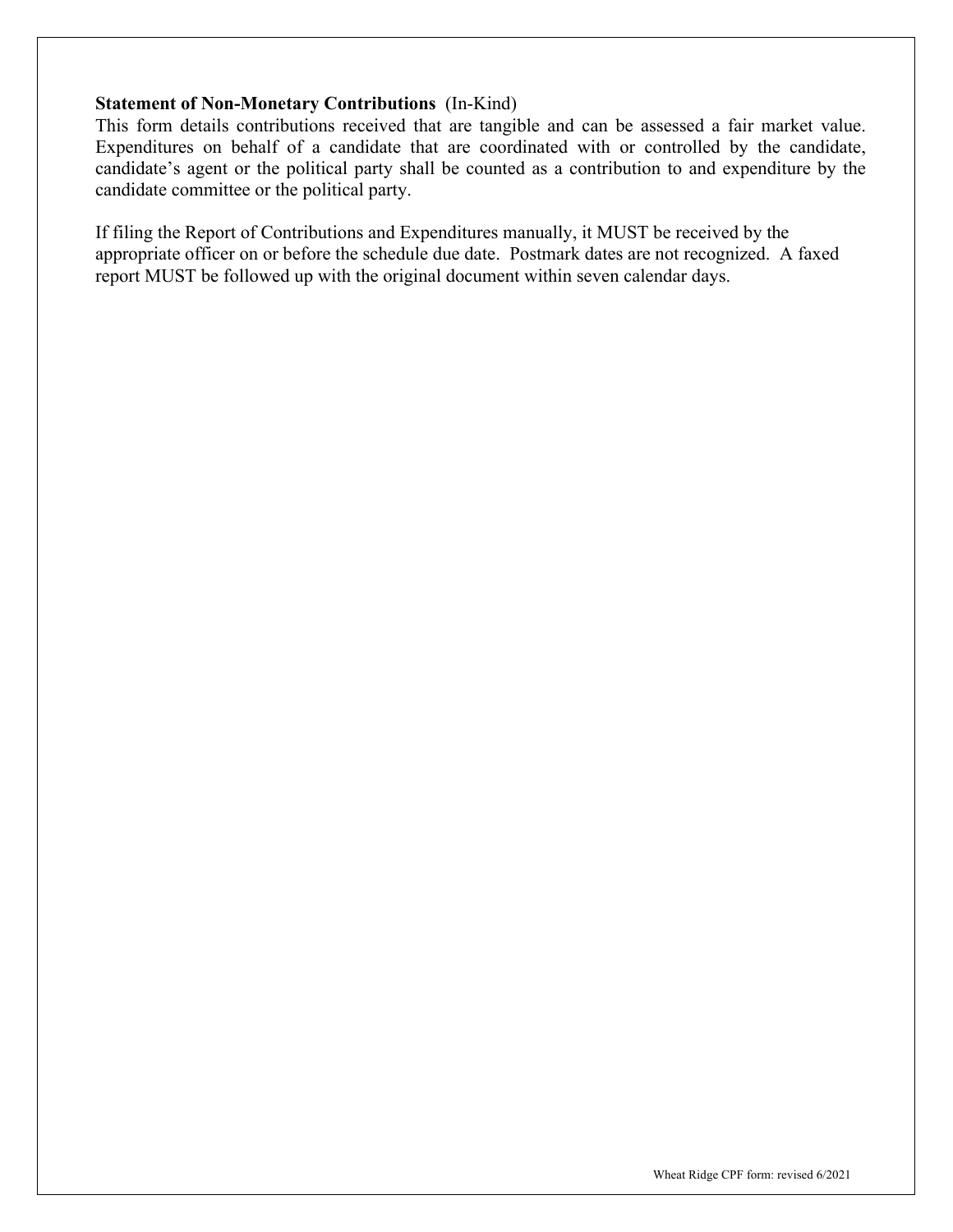# **Statement of Non-Monetary Contributions** (In-Kind)

This form details contributions received that are tangible and can be assessed a fair market value. Expenditures on behalf of a candidate that are coordinated with or controlled by the candidate, candidate's agent or the political party shall be counted as a contribution to and expenditure by the candidate committee or the political party.

If filing the Report of Contributions and Expenditures manually, it MUST be received by the appropriate officer on or before the schedule due date. Postmark dates are not recognized. A faxed report MUST be followed up with the original document within seven calendar days.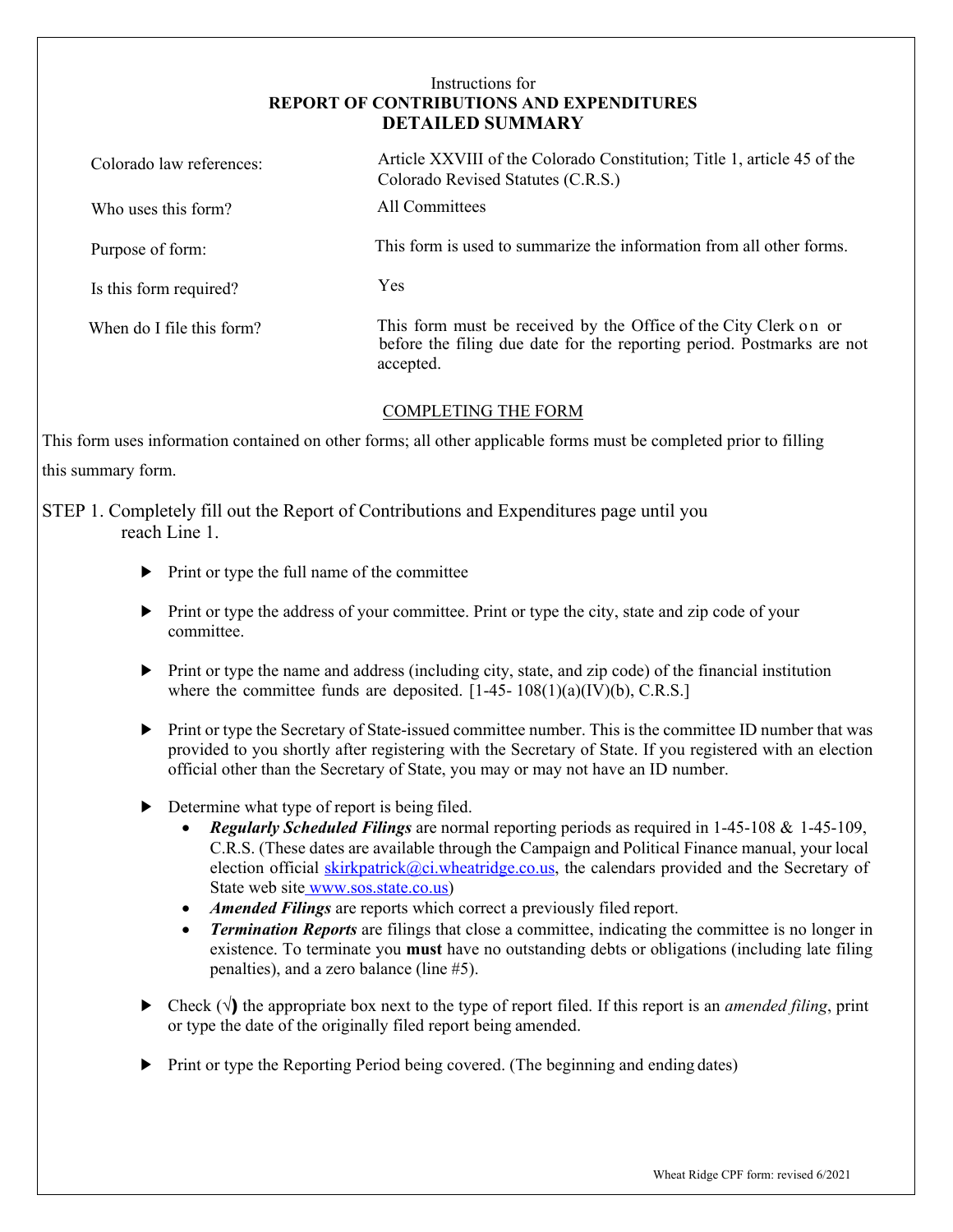## Instructions for **REPORT OF CONTRIBUTIONS AND EXPENDITURES DETAILED SUMMARY**

| Colorado law references:  | Article XXVIII of the Colorado Constitution; Title 1, article 45 of the<br>Colorado Revised Statutes (C.R.S.)                                           |
|---------------------------|---------------------------------------------------------------------------------------------------------------------------------------------------------|
| Who uses this form?       | All Committees                                                                                                                                          |
| Purpose of form:          | This form is used to summarize the information from all other forms.                                                                                    |
| Is this form required?    | <b>Yes</b>                                                                                                                                              |
| When do I file this form? | This form must be received by the Office of the City Clerk on or<br>before the filing due date for the reporting period. Postmarks are not<br>accepted. |
|                           |                                                                                                                                                         |

## COMPLETING THE FORM

This form uses information contained on other forms; all other applicable forms must be completed prior to filling this summary form.

# STEP 1. Completely fill out the Report of Contributions and Expenditures page until you reach Line 1.

- ► Print or type the full name of the committee
- ► Print or type the address of your committee. Print or type the city, state and zip code of your committee.
- ► Print or type the name and address (including city, state, and zip code) of the financial institution where the committee funds are deposited.  $[1-45-108(1)(a)(IV)(b), C.R.S.]$
- ► Print or type the Secretary of State-issued committee number. This is the committee ID number that was provided to you shortly after registering with the Secretary of State. If you registered with an election official other than the Secretary of State, you may or may not have an ID number.
- ► Determine what type of report is being filed.
	- *Regularly Scheduled Filings* are normal reporting periods as required in 1-45-108 & 1-45-109, C.R.S. (These dates are available through the Campaign and Political Finance manual, your local election official skirkpatrick $@ci$ .wheatridge.co.us, the calendars provided and the Secretary of State web site www.sos.state.co.us)
	- *Amended Filings* are reports which correct a previously filed report.
	- *Termination Reports* are filings that close a committee, indicating the committee is no longer in existence. To terminate you **must** have no outstanding debts or obligations (including late filing penalties), and a zero balance (line #5).
- ► Check (√) the appropriate box next to the type of report filed. If this report is an *amended filing*, print or type the date of the originally filed report being amended.
- ► Print or type the Reporting Period being covered. (The beginning and ending dates)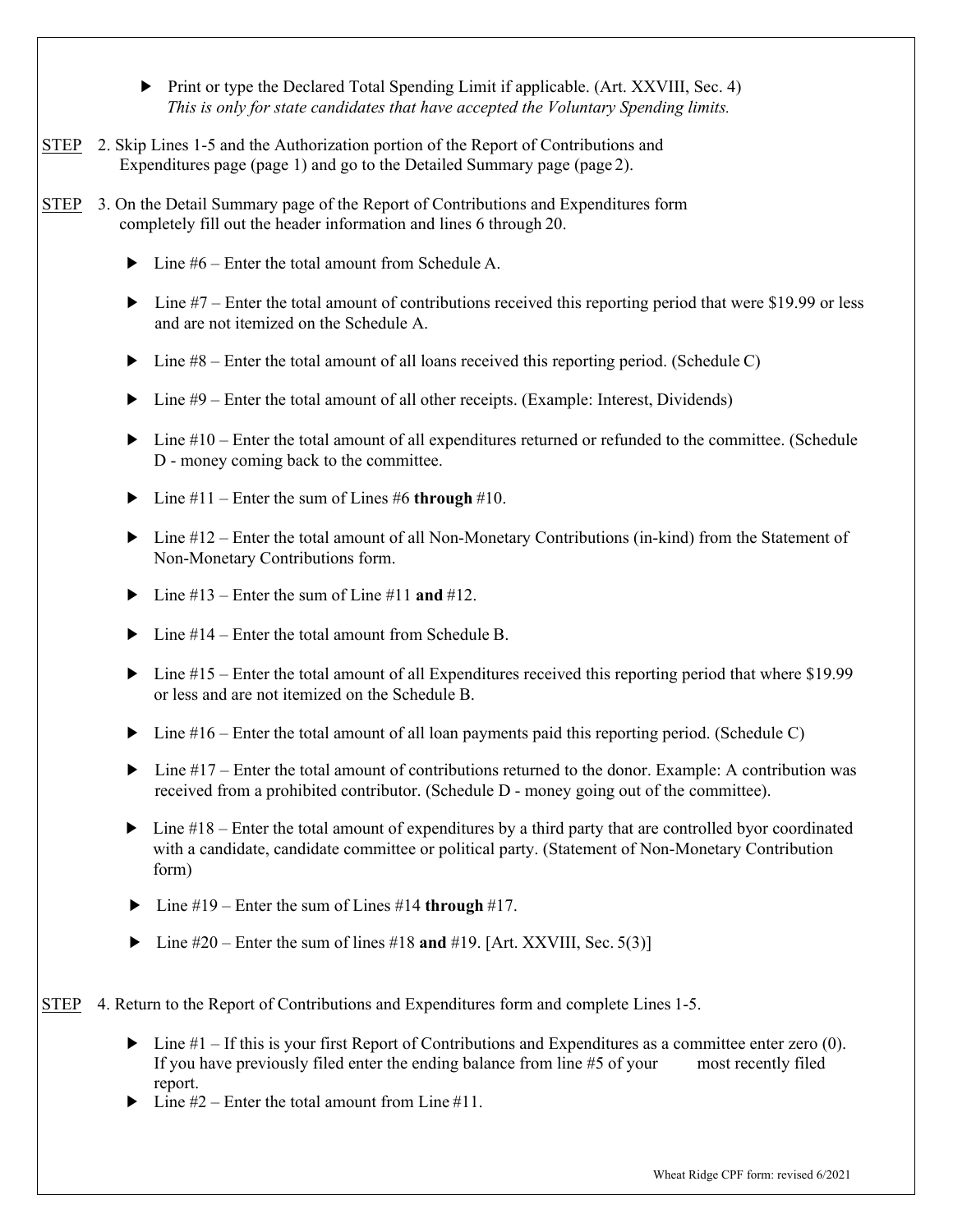- ► Print or type the Declared Total Spending Limit if applicable. (Art. XXVIII, Sec. 4) *This is only for state candidates that have accepted the Voluntary Spending limits.*
- STEP 2. Skip Lines 1-5 and the Authorization portion of the Report of Contributions and Expenditures page (page 1) and go to the Detailed Summary page (page 2).
- STEP 3. On the Detail Summary page of the Report of Contributions and Expenditures form completely fill out the header information and lines 6 through 20.
	- $\blacktriangleright$  Line #6 Enter the total amount from Schedule A.
	- $\blacktriangleright$  Line #7 Enter the total amount of contributions received this reporting period that were \$19.99 or less and are not itemized on the Schedule A.
	- $\triangleright$  Line #8 Enter the total amount of all loans received this reporting period. (Schedule C)
	- ► Line #9 Enter the total amount of all other receipts. (Example: Interest, Dividends)
	- $\blacktriangleright$  Line #10 Enter the total amount of all expenditures returned or refunded to the committee. (Schedule D - money coming back to the committee.
	- $\blacktriangleright$  Line #11 Enter the sum of Lines #6 **through** #10.
	- ► Line #12 Enter the total amount of all Non-Monetary Contributions (in-kind) from the Statement of Non-Monetary Contributions form.
	- $\blacktriangleright$  Line #13 Enter the sum of Line #11 **and** #12.
	- $\blacktriangleright$  Line #14 Enter the total amount from Schedule B.
	- $\blacktriangleright$  Line #15 Enter the total amount of all Expenditures received this reporting period that where \$19.99 or less and are not itemized on the Schedule B.
	- $\blacktriangleright$  Line #16 Enter the total amount of all loan payments paid this reporting period. (Schedule C)
	- ► Line #17 Enter the total amount of contributions returned to the donor. Example: A contribution was received from a prohibited contributor. (Schedule D - money going out of the committee).
	- $\blacktriangleright$  Line #18 Enter the total amount of expenditures by a third party that are controlled byor coordinated with a candidate, candidate committee or political party. (Statement of Non-Monetary Contribution form)
	- ► Line #19 Enter the sum of Lines #14 **through** #17.
	- ► Line #20 Enter the sum of lines #18 **and** #19. [Art. XXVIII, Sec. 5(3)]

STEP 4. Return to the Report of Contributions and Expenditures form and complete Lines 1-5.

- $\blacktriangleright$  Line #1 If this is your first Report of Contributions and Expenditures as a committee enter zero (0). If you have previously filed enter the ending balance from line #5 of your most recently filed report.
- Line  $#2$  Enter the total amount from Line  $#11$ .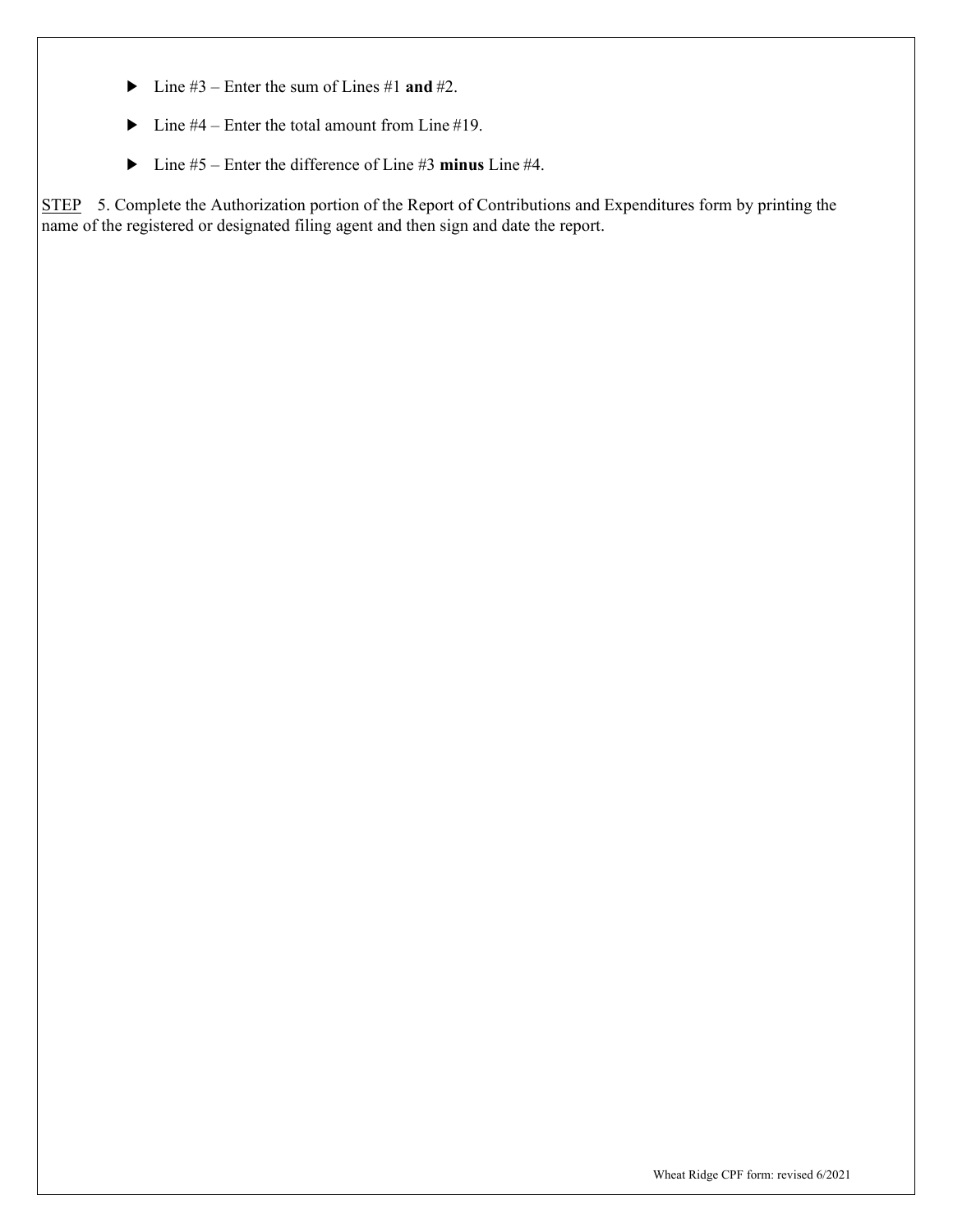- ► Line #3 Enter the sum of Lines #1 **and** #2.
- $\blacktriangleright$  Line #4 Enter the total amount from Line #19.
- ► Line #5 Enter the difference of Line #3 **minus** Line #4.

STEP 5. Complete the Authorization portion of the Report of Contributions and Expenditures form by printing the name of the registered or designated filing agent and then sign and date the report.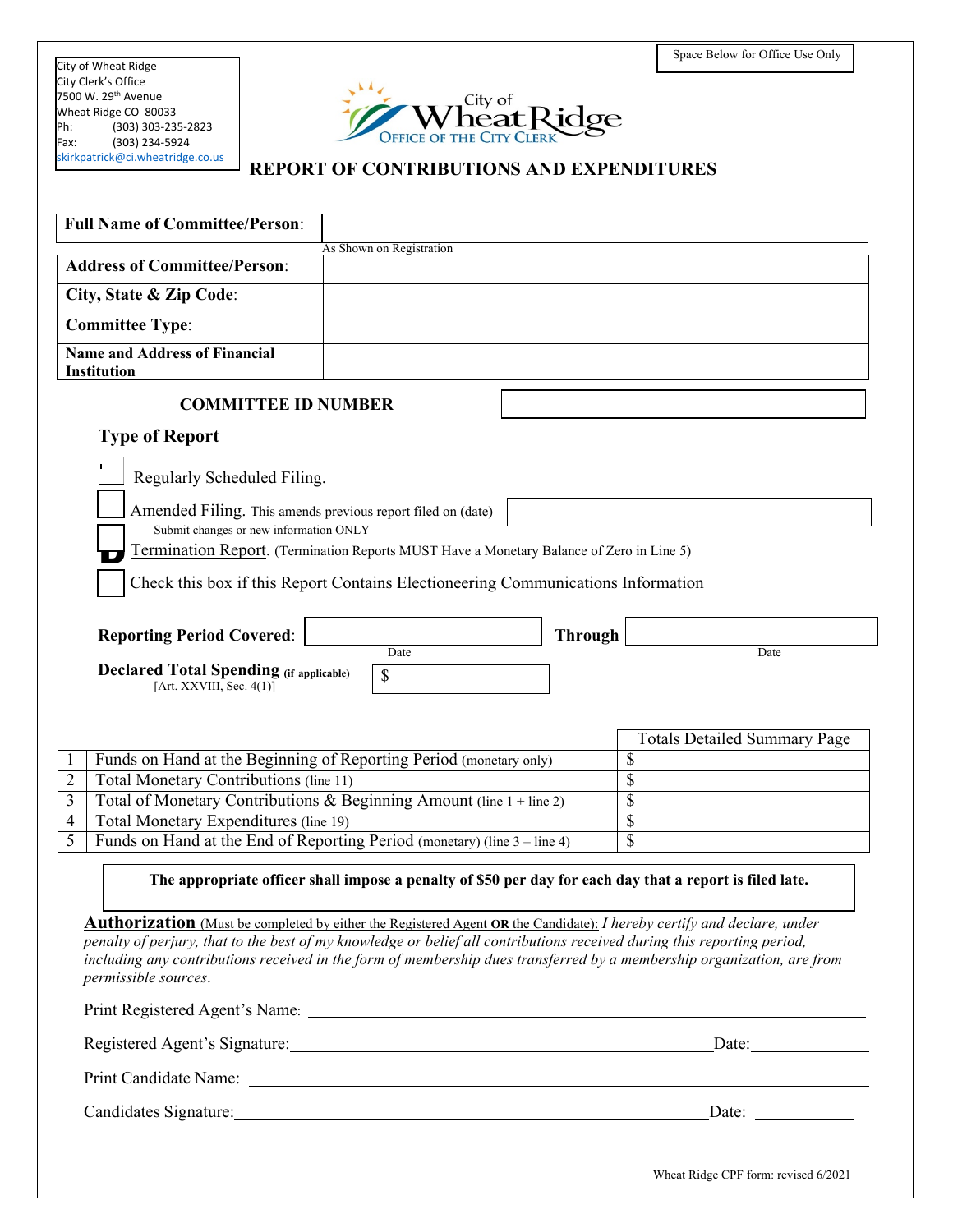City of Wheat Ridge City Clerk's Office 7500 W. 29<sup>th</sup> Avenue Wheat Ridge CO 80033<br>Ph: (303) 303-235  $(303)$  303-235-2823 Fax: (303) 234-5924 [skirkpatrick@ci.wheatridge.co.us](mailto:skirkpatrick@ci.wheatridge.co.us)



## **REPORT OF CONTRIBUTIONS AND EXPENDITURES**

| <b>Address of Committee/Person:</b><br>City, State & Zip Code:<br><b>Committee Type:</b><br><b>Name and Address of Financial</b><br><b>Institution</b><br><b>COMMITTEE ID NUMBER</b><br><b>Type of Report</b><br>Regularly Scheduled Filing.<br>Amended Filing. This amends previous report filed on (date)<br>Submit changes or new information ONLY<br>Termination Report. (Termination Reports MUST Have a Monetary Balance of Zero in Line 5)<br>Check this box if this Report Contains Electioneering Communications Information<br><b>Through</b><br><b>Reporting Period Covered:</b><br>Date<br>Date<br><b>Declared Total Spending (if applicable)</b><br>\$<br>[Art. XXVIII, Sec. $4(1)$ ]<br><b>Totals Detailed Summary Page</b><br>Funds on Hand at the Beginning of Reporting Period (monetary only)<br>\$<br>1<br>\$<br>Total Monetary Contributions (line 11)<br>$\overline{2}$<br>$\overline{\mathcal{S}}$<br>Total of Monetary Contributions & Beginning Amount (line $1 +$ line 2)<br>3<br>\$<br>Total Monetary Expenditures (line 19)<br>4<br>5<br>Funds on Hand at the End of Reporting Period (monetary) (line 3 – line 4)<br>\$<br>The appropriate officer shall impose a penalty of \$50 per day for each day that a report is filed late.<br><b>Authorization</b> (Must be completed by either the Registered Agent OR the Candidate): I hereby certify and declare, under<br>penalty of perjury, that to the best of my knowledge or belief all contributions received during this reporting period,<br>including any contributions received in the form of membership dues transferred by a membership organization, are from<br>permissible sources.<br>Registered Agent's Signature: Date: Date: Date:<br>Candidates Signature: Date: Date: Date: Date: Date: Date: Date: Date: Date: Date: Date: Date: Date: D | <b>Full Name of Committee/Person:</b> |                          |  |
|-------------------------------------------------------------------------------------------------------------------------------------------------------------------------------------------------------------------------------------------------------------------------------------------------------------------------------------------------------------------------------------------------------------------------------------------------------------------------------------------------------------------------------------------------------------------------------------------------------------------------------------------------------------------------------------------------------------------------------------------------------------------------------------------------------------------------------------------------------------------------------------------------------------------------------------------------------------------------------------------------------------------------------------------------------------------------------------------------------------------------------------------------------------------------------------------------------------------------------------------------------------------------------------------------------------------------------------------------------------------------------------------------------------------------------------------------------------------------------------------------------------------------------------------------------------------------------------------------------------------------------------------------------------------------------------------------------------------------------------------------------------------------------------------------------------------------------------------|---------------------------------------|--------------------------|--|
|                                                                                                                                                                                                                                                                                                                                                                                                                                                                                                                                                                                                                                                                                                                                                                                                                                                                                                                                                                                                                                                                                                                                                                                                                                                                                                                                                                                                                                                                                                                                                                                                                                                                                                                                                                                                                                           |                                       | As Shown on Registration |  |
|                                                                                                                                                                                                                                                                                                                                                                                                                                                                                                                                                                                                                                                                                                                                                                                                                                                                                                                                                                                                                                                                                                                                                                                                                                                                                                                                                                                                                                                                                                                                                                                                                                                                                                                                                                                                                                           |                                       |                          |  |
|                                                                                                                                                                                                                                                                                                                                                                                                                                                                                                                                                                                                                                                                                                                                                                                                                                                                                                                                                                                                                                                                                                                                                                                                                                                                                                                                                                                                                                                                                                                                                                                                                                                                                                                                                                                                                                           |                                       |                          |  |
|                                                                                                                                                                                                                                                                                                                                                                                                                                                                                                                                                                                                                                                                                                                                                                                                                                                                                                                                                                                                                                                                                                                                                                                                                                                                                                                                                                                                                                                                                                                                                                                                                                                                                                                                                                                                                                           |                                       |                          |  |
|                                                                                                                                                                                                                                                                                                                                                                                                                                                                                                                                                                                                                                                                                                                                                                                                                                                                                                                                                                                                                                                                                                                                                                                                                                                                                                                                                                                                                                                                                                                                                                                                                                                                                                                                                                                                                                           |                                       |                          |  |
|                                                                                                                                                                                                                                                                                                                                                                                                                                                                                                                                                                                                                                                                                                                                                                                                                                                                                                                                                                                                                                                                                                                                                                                                                                                                                                                                                                                                                                                                                                                                                                                                                                                                                                                                                                                                                                           |                                       |                          |  |
|                                                                                                                                                                                                                                                                                                                                                                                                                                                                                                                                                                                                                                                                                                                                                                                                                                                                                                                                                                                                                                                                                                                                                                                                                                                                                                                                                                                                                                                                                                                                                                                                                                                                                                                                                                                                                                           |                                       |                          |  |
|                                                                                                                                                                                                                                                                                                                                                                                                                                                                                                                                                                                                                                                                                                                                                                                                                                                                                                                                                                                                                                                                                                                                                                                                                                                                                                                                                                                                                                                                                                                                                                                                                                                                                                                                                                                                                                           |                                       |                          |  |
|                                                                                                                                                                                                                                                                                                                                                                                                                                                                                                                                                                                                                                                                                                                                                                                                                                                                                                                                                                                                                                                                                                                                                                                                                                                                                                                                                                                                                                                                                                                                                                                                                                                                                                                                                                                                                                           |                                       |                          |  |
|                                                                                                                                                                                                                                                                                                                                                                                                                                                                                                                                                                                                                                                                                                                                                                                                                                                                                                                                                                                                                                                                                                                                                                                                                                                                                                                                                                                                                                                                                                                                                                                                                                                                                                                                                                                                                                           |                                       |                          |  |
|                                                                                                                                                                                                                                                                                                                                                                                                                                                                                                                                                                                                                                                                                                                                                                                                                                                                                                                                                                                                                                                                                                                                                                                                                                                                                                                                                                                                                                                                                                                                                                                                                                                                                                                                                                                                                                           |                                       |                          |  |
|                                                                                                                                                                                                                                                                                                                                                                                                                                                                                                                                                                                                                                                                                                                                                                                                                                                                                                                                                                                                                                                                                                                                                                                                                                                                                                                                                                                                                                                                                                                                                                                                                                                                                                                                                                                                                                           |                                       |                          |  |
|                                                                                                                                                                                                                                                                                                                                                                                                                                                                                                                                                                                                                                                                                                                                                                                                                                                                                                                                                                                                                                                                                                                                                                                                                                                                                                                                                                                                                                                                                                                                                                                                                                                                                                                                                                                                                                           |                                       |                          |  |
|                                                                                                                                                                                                                                                                                                                                                                                                                                                                                                                                                                                                                                                                                                                                                                                                                                                                                                                                                                                                                                                                                                                                                                                                                                                                                                                                                                                                                                                                                                                                                                                                                                                                                                                                                                                                                                           |                                       |                          |  |
|                                                                                                                                                                                                                                                                                                                                                                                                                                                                                                                                                                                                                                                                                                                                                                                                                                                                                                                                                                                                                                                                                                                                                                                                                                                                                                                                                                                                                                                                                                                                                                                                                                                                                                                                                                                                                                           |                                       |                          |  |
|                                                                                                                                                                                                                                                                                                                                                                                                                                                                                                                                                                                                                                                                                                                                                                                                                                                                                                                                                                                                                                                                                                                                                                                                                                                                                                                                                                                                                                                                                                                                                                                                                                                                                                                                                                                                                                           |                                       |                          |  |
|                                                                                                                                                                                                                                                                                                                                                                                                                                                                                                                                                                                                                                                                                                                                                                                                                                                                                                                                                                                                                                                                                                                                                                                                                                                                                                                                                                                                                                                                                                                                                                                                                                                                                                                                                                                                                                           |                                       |                          |  |
|                                                                                                                                                                                                                                                                                                                                                                                                                                                                                                                                                                                                                                                                                                                                                                                                                                                                                                                                                                                                                                                                                                                                                                                                                                                                                                                                                                                                                                                                                                                                                                                                                                                                                                                                                                                                                                           |                                       |                          |  |
|                                                                                                                                                                                                                                                                                                                                                                                                                                                                                                                                                                                                                                                                                                                                                                                                                                                                                                                                                                                                                                                                                                                                                                                                                                                                                                                                                                                                                                                                                                                                                                                                                                                                                                                                                                                                                                           |                                       |                          |  |
|                                                                                                                                                                                                                                                                                                                                                                                                                                                                                                                                                                                                                                                                                                                                                                                                                                                                                                                                                                                                                                                                                                                                                                                                                                                                                                                                                                                                                                                                                                                                                                                                                                                                                                                                                                                                                                           |                                       |                          |  |
|                                                                                                                                                                                                                                                                                                                                                                                                                                                                                                                                                                                                                                                                                                                                                                                                                                                                                                                                                                                                                                                                                                                                                                                                                                                                                                                                                                                                                                                                                                                                                                                                                                                                                                                                                                                                                                           |                                       |                          |  |
|                                                                                                                                                                                                                                                                                                                                                                                                                                                                                                                                                                                                                                                                                                                                                                                                                                                                                                                                                                                                                                                                                                                                                                                                                                                                                                                                                                                                                                                                                                                                                                                                                                                                                                                                                                                                                                           |                                       |                          |  |
|                                                                                                                                                                                                                                                                                                                                                                                                                                                                                                                                                                                                                                                                                                                                                                                                                                                                                                                                                                                                                                                                                                                                                                                                                                                                                                                                                                                                                                                                                                                                                                                                                                                                                                                                                                                                                                           |                                       |                          |  |
|                                                                                                                                                                                                                                                                                                                                                                                                                                                                                                                                                                                                                                                                                                                                                                                                                                                                                                                                                                                                                                                                                                                                                                                                                                                                                                                                                                                                                                                                                                                                                                                                                                                                                                                                                                                                                                           |                                       |                          |  |
|                                                                                                                                                                                                                                                                                                                                                                                                                                                                                                                                                                                                                                                                                                                                                                                                                                                                                                                                                                                                                                                                                                                                                                                                                                                                                                                                                                                                                                                                                                                                                                                                                                                                                                                                                                                                                                           |                                       |                          |  |
|                                                                                                                                                                                                                                                                                                                                                                                                                                                                                                                                                                                                                                                                                                                                                                                                                                                                                                                                                                                                                                                                                                                                                                                                                                                                                                                                                                                                                                                                                                                                                                                                                                                                                                                                                                                                                                           |                                       |                          |  |
|                                                                                                                                                                                                                                                                                                                                                                                                                                                                                                                                                                                                                                                                                                                                                                                                                                                                                                                                                                                                                                                                                                                                                                                                                                                                                                                                                                                                                                                                                                                                                                                                                                                                                                                                                                                                                                           |                                       |                          |  |
|                                                                                                                                                                                                                                                                                                                                                                                                                                                                                                                                                                                                                                                                                                                                                                                                                                                                                                                                                                                                                                                                                                                                                                                                                                                                                                                                                                                                                                                                                                                                                                                                                                                                                                                                                                                                                                           |                                       |                          |  |
|                                                                                                                                                                                                                                                                                                                                                                                                                                                                                                                                                                                                                                                                                                                                                                                                                                                                                                                                                                                                                                                                                                                                                                                                                                                                                                                                                                                                                                                                                                                                                                                                                                                                                                                                                                                                                                           |                                       |                          |  |
|                                                                                                                                                                                                                                                                                                                                                                                                                                                                                                                                                                                                                                                                                                                                                                                                                                                                                                                                                                                                                                                                                                                                                                                                                                                                                                                                                                                                                                                                                                                                                                                                                                                                                                                                                                                                                                           |                                       |                          |  |
|                                                                                                                                                                                                                                                                                                                                                                                                                                                                                                                                                                                                                                                                                                                                                                                                                                                                                                                                                                                                                                                                                                                                                                                                                                                                                                                                                                                                                                                                                                                                                                                                                                                                                                                                                                                                                                           |                                       |                          |  |
|                                                                                                                                                                                                                                                                                                                                                                                                                                                                                                                                                                                                                                                                                                                                                                                                                                                                                                                                                                                                                                                                                                                                                                                                                                                                                                                                                                                                                                                                                                                                                                                                                                                                                                                                                                                                                                           |                                       |                          |  |
|                                                                                                                                                                                                                                                                                                                                                                                                                                                                                                                                                                                                                                                                                                                                                                                                                                                                                                                                                                                                                                                                                                                                                                                                                                                                                                                                                                                                                                                                                                                                                                                                                                                                                                                                                                                                                                           |                                       |                          |  |
|                                                                                                                                                                                                                                                                                                                                                                                                                                                                                                                                                                                                                                                                                                                                                                                                                                                                                                                                                                                                                                                                                                                                                                                                                                                                                                                                                                                                                                                                                                                                                                                                                                                                                                                                                                                                                                           |                                       |                          |  |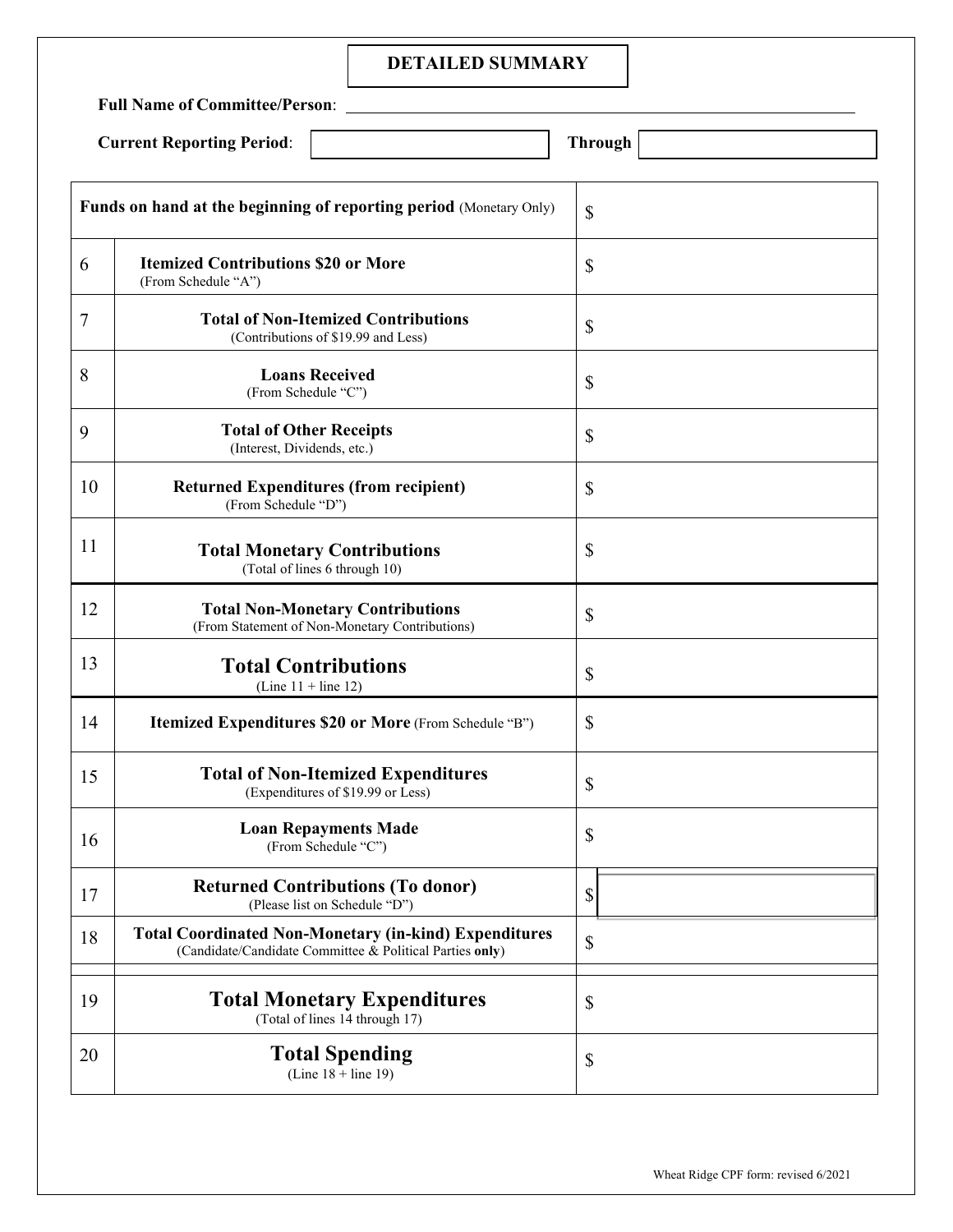# **DETAILED SUMMARY**

|        | <b>Full Name of Committee/Person:</b><br><b>Through</b><br><b>Current Reporting Period:</b> |                           |  |
|--------|---------------------------------------------------------------------------------------------|---------------------------|--|
|        | Funds on hand at the beginning of reporting period (Monetary Only)                          | $\mathcal{S}$             |  |
| 6      | <b>Itemized Contributions \$20 or More</b><br>(From Schedule "A")                           | $\mathcal{S}$             |  |
| $\tau$ | <b>Total of Non-Itemized Contributions</b><br>(Contributions of \$19.99 and Less)           | $\mathcal{S}$             |  |
| 8      | <b>Loans Received</b><br>(From Schedule "C")                                                | $\boldsymbol{\mathsf{S}}$ |  |
| 9      | <b>Total of Other Receipts</b><br>(Interest, Dividends, etc.)                               | $\mathcal{S}$             |  |
| 10     | <b>Returned Expenditures (from recipient)</b><br>(From Schedule "D")                        | \$                        |  |
| 11     | <b>Total Monetary Contributions</b><br>(Total of lines 6 through 10)                        | \$                        |  |
| 12     | <b>Total Non-Monetary Contributions</b><br>(From Statement of Non-Monetary Contributions)   | $\mathcal{S}$             |  |
| 13     | <b>Total Contributions</b><br>(Line $11 +$ line 12)                                         | \$                        |  |
| 14     | Itemized Expenditures \$20 or More (From Schedule "B")                                      | $\mathcal{S}$             |  |
| 15     | <b>Total of Non-Itemized Expenditures</b><br>(Expenditures of \$19.99 or Less)              | \$                        |  |
| 16     | <b>Loan Repayments Made</b><br>(From Schedule "C")                                          | \$                        |  |
|        |                                                                                             |                           |  |

| 17 | <b>Returned Contributions (To donor)</b><br>(Please list on Schedule "D")                                                | D  |
|----|--------------------------------------------------------------------------------------------------------------------------|----|
| 18 | <b>Total Coordinated Non-Monetary (in-kind) Expenditures</b><br>(Candidate/Candidate Committee & Political Parties only) | \$ |
| 19 | <b>Total Monetary Expenditures</b><br>(Total of lines 14 through 17)                                                     | D  |
| 20 | <b>Total Spending</b><br>(Line $18 + line 19$ )                                                                          | Φ  |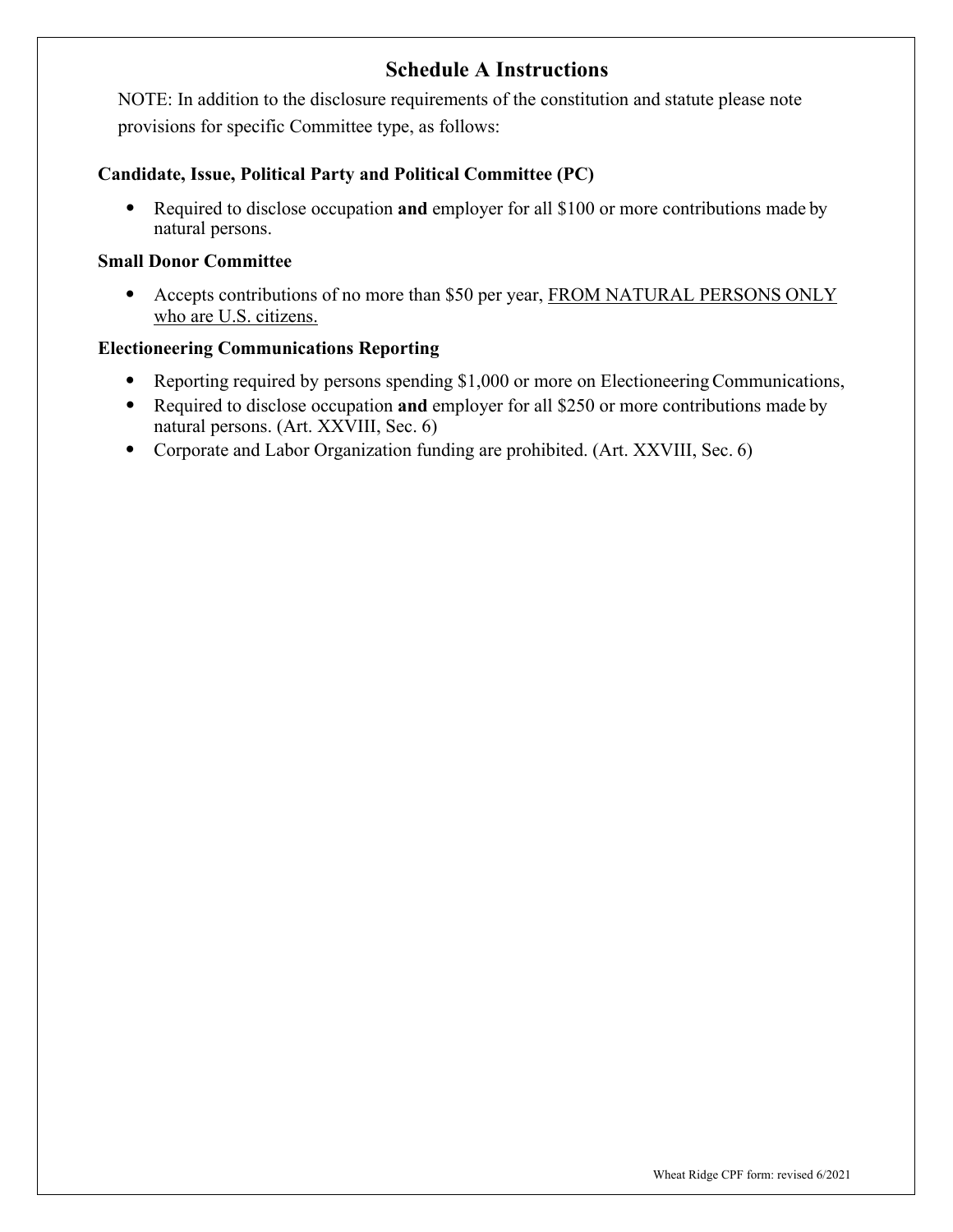# **Schedule A Instructions**

NOTE: In addition to the disclosure requirements of the constitution and statute please note provisions for specific Committee type, as follows:

# **Candidate, Issue, Political Party and Political Committee (PC)**

• Required to disclose occupation **and** employer for all \$100 or more contributions made by natural persons.

# **Small Donor Committee**

• Accepts contributions of no more than \$50 per year, FROM NATURAL PERSONS ONLY who are U.S. citizens.

# **Electioneering Communications Reporting**

- Reporting required by persons spending \$1,000 or more on Electioneering Communications,
- Required to disclose occupation **and** employer for all \$250 or more contributions made by natural persons. (Art. XXVIII, Sec. 6)
- Corporate and Labor Organization funding are prohibited. (Art. XXVIII, Sec. 6)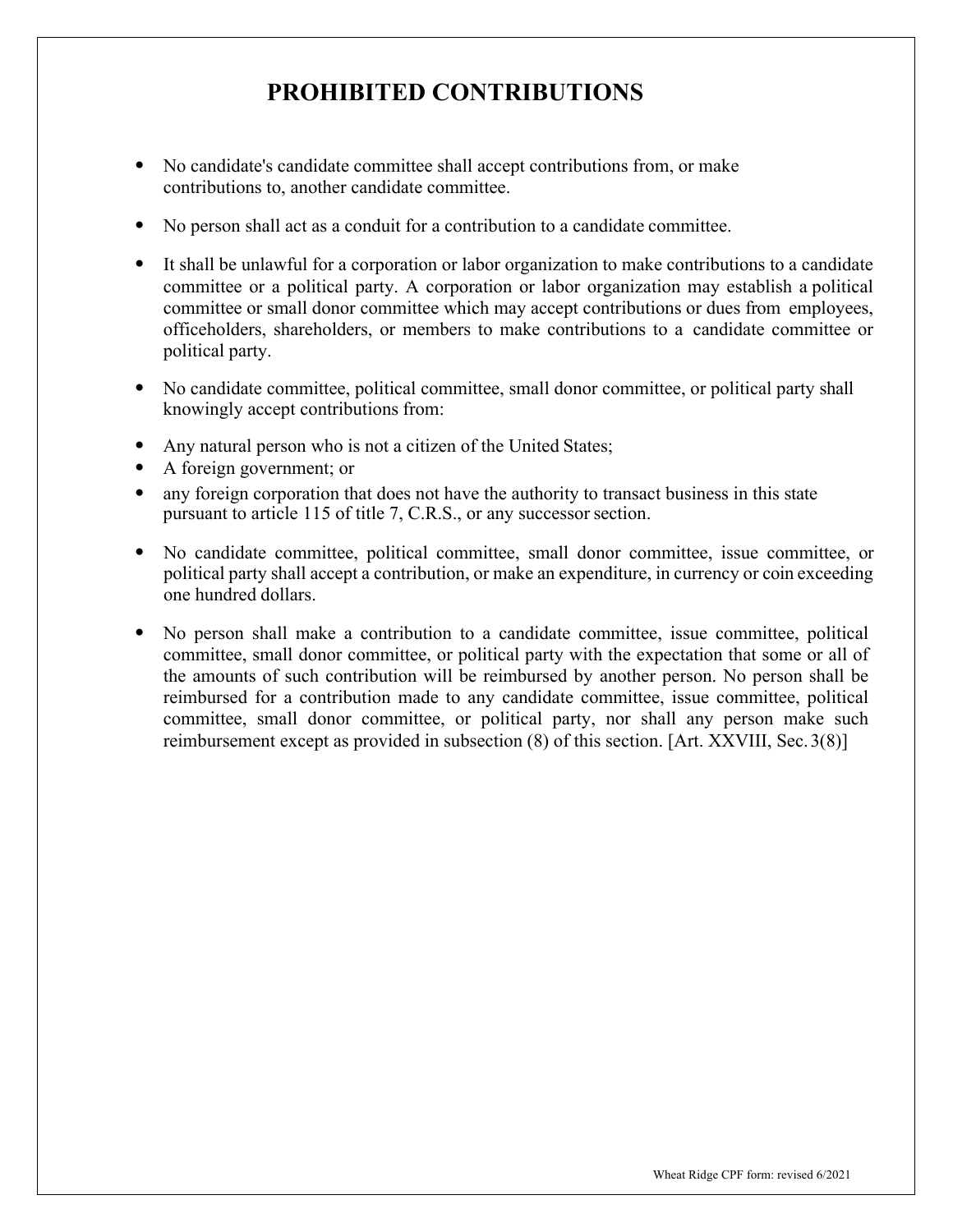# **PROHIBITED CONTRIBUTIONS**

- No candidate's candidate committee shall accept contributions from, or make contributions to, another candidate committee.
- No person shall act as a conduit for a contribution to a candidate committee.
- It shall be unlawful for a corporation or labor organization to make contributions to a candidate committee or a political party. A corporation or labor organization may establish a political committee or small donor committee which may accept contributions or dues from employees, officeholders, shareholders, or members to make contributions to a candidate committee or political party.
- No candidate committee, political committee, small donor committee, or political party shall knowingly accept contributions from:
- Any natural person who is not a citizen of the United States;
- A foreign government; or
- any foreign corporation that does not have the authority to transact business in this state pursuant to article 115 of title 7, C.R.S., or any successor section.
- No candidate committee, political committee, small donor committee, issue committee, or political party shall accept a contribution, or make an expenditure, in currency or coin exceeding one hundred dollars.
- No person shall make a contribution to a candidate committee, issue committee, political committee, small donor committee, or political party with the expectation that some or all of the amounts of such contribution will be reimbursed by another person. No person shall be reimbursed for a contribution made to any candidate committee, issue committee, political committee, small donor committee, or political party, nor shall any person make such reimbursement except as provided in subsection (8) of this section. [Art. XXVIII, Sec.3(8)]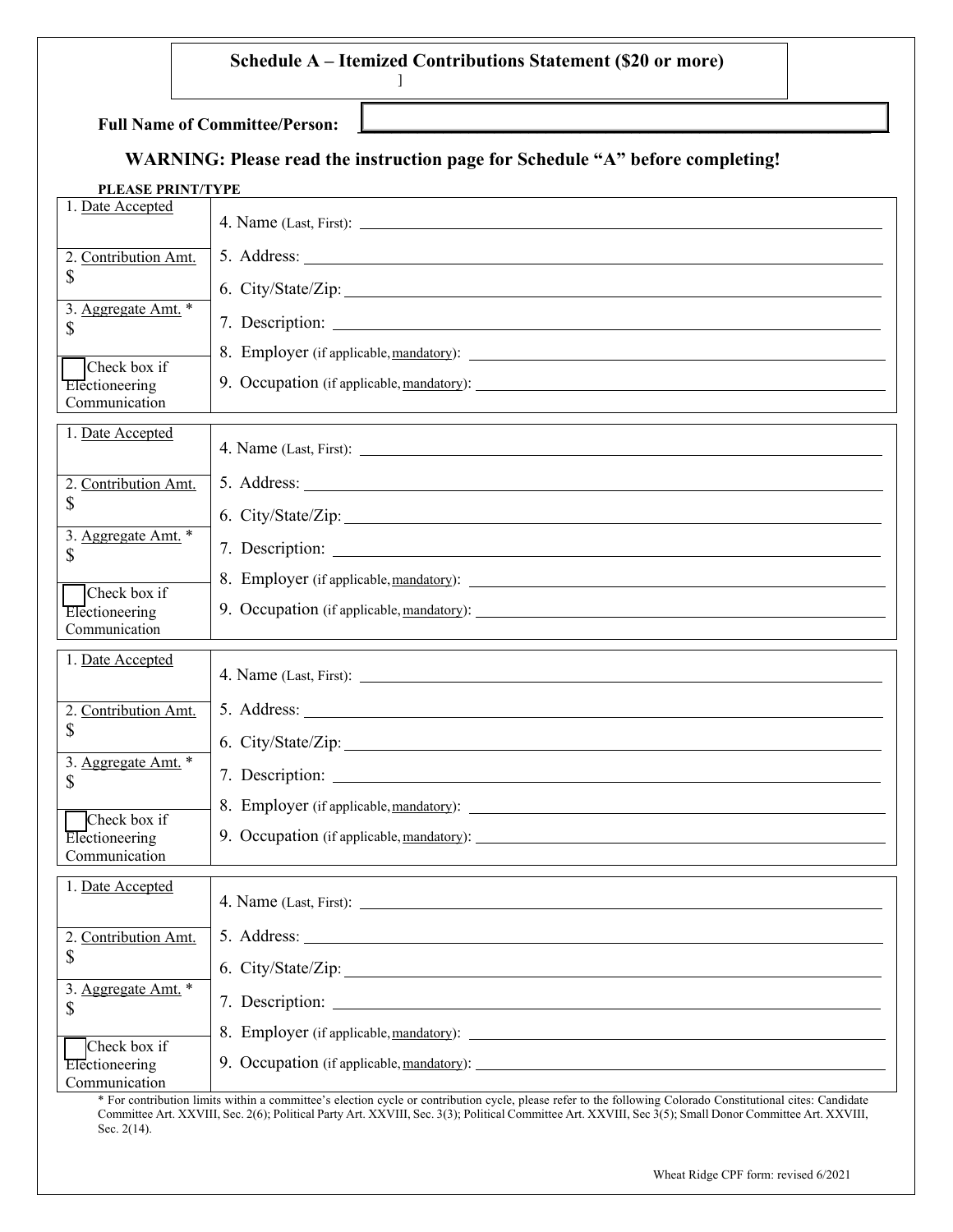# **Schedule A – Itemized Contributions Statement (\$20 or more)**

 $\Box$  , where the contract of the contract of the contract of the contract of the contract of the contract of the contract of the contract of the contract of the contract of the contract of the contract of the contract of

#### **Full Name of Committee/Person:**

# **WARNING: Please read the instruction page for Schedule "A" before completing!**

]

#### **PLEASE PRINT/TYPE**

| 1. Date Accepted                                |                                                                                                                                                                                                                                 |
|-------------------------------------------------|---------------------------------------------------------------------------------------------------------------------------------------------------------------------------------------------------------------------------------|
| 2. Contribution Amt.<br>\$                      | 5. Address:                                                                                                                                                                                                                     |
| 3. Aggregate Amt. *<br>\$                       | 6. City/State/Zip:                                                                                                                                                                                                              |
| Check box if<br>Electioneering<br>Communication | 8. Employer (if applicable, mandatory):                                                                                                                                                                                         |
| 1. Date Accepted                                |                                                                                                                                                                                                                                 |
| 2. Contribution Amt.<br>\$                      | 6. City/State/Zip:                                                                                                                                                                                                              |
| 3. Aggregate Amt. *<br>\$                       |                                                                                                                                                                                                                                 |
| Check box if<br>Electioneering<br>Communication | 9. Occupation (if applicable, mandatory):                                                                                                                                                                                       |
|                                                 |                                                                                                                                                                                                                                 |
| 1. Date Accepted                                |                                                                                                                                                                                                                                 |
| 2. Contribution Amt.<br>\$                      |                                                                                                                                                                                                                                 |
| 3. Aggregate Amt. *<br>\$                       | 6. City/State/Zip:                                                                                                                                                                                                              |
| Check box if<br>Electioneering<br>Communication | 9. Occupation (if applicable, mandatory):<br>Second the second second second second second second second second second second second second second second second second second second second second second second second second |
| 1. Date Accepted                                |                                                                                                                                                                                                                                 |
| 2.<br>Contribution Amt.<br>\$                   | 6. City/State/Zip:                                                                                                                                                                                                              |
| 3. Aggregate Amt. *<br>\$                       |                                                                                                                                                                                                                                 |

\* For contribution limits within a committee's election cycle or contribution cycle, please refer to the following Colorado Constitutional cites: Candidate Committee Art. XXVIII, Sec. 2(6); Political Party Art. XXVIII, Sec. 3(3); Political Committee Art. XXVIII, Sec 3(5); Small Donor Committee Art. XXVIII, Sec. 2(14).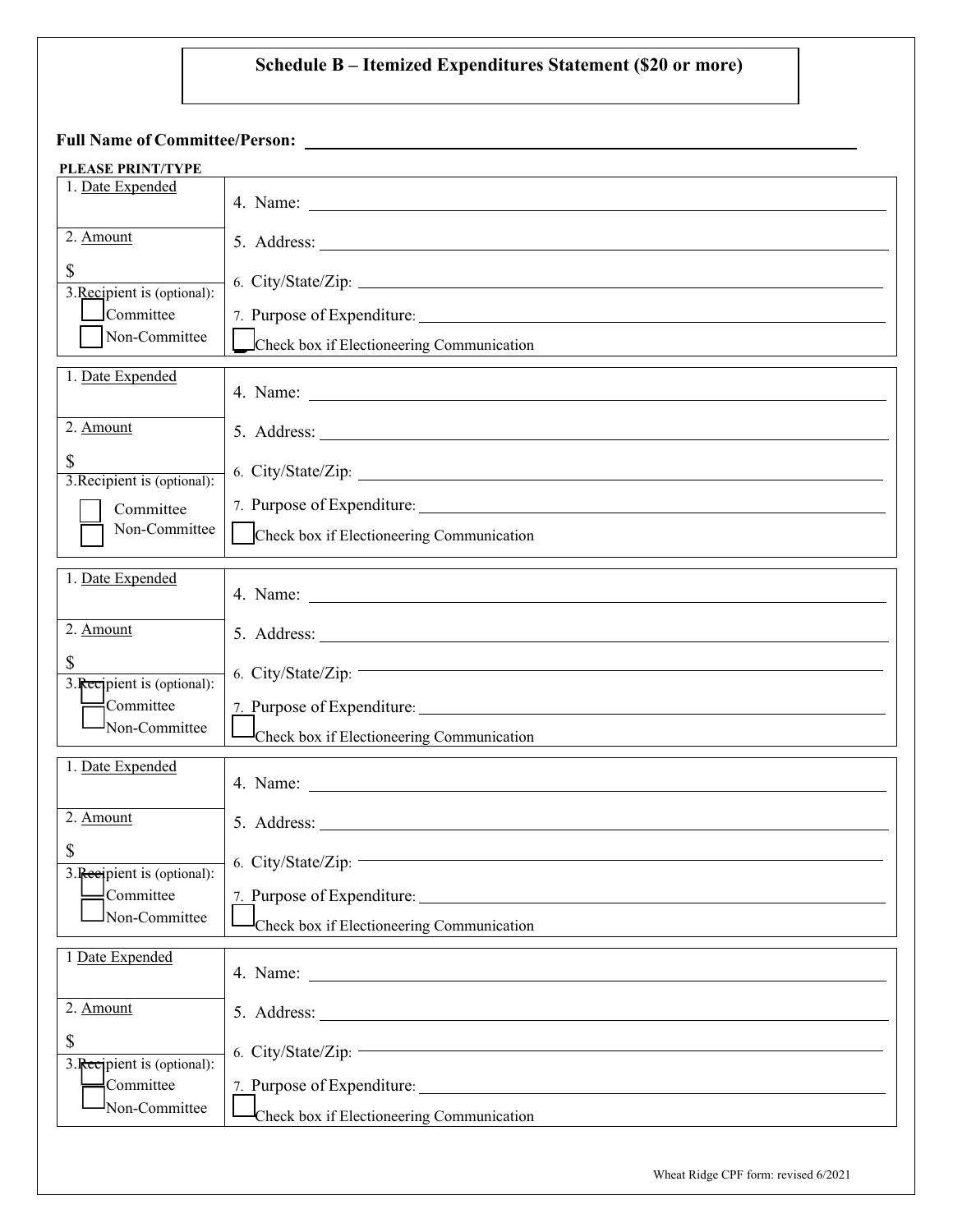# **Schedule B – Itemized Expenditures Statement (\$20 or more)**

**Full Name of Committee/Person:** 

| <b>PLEASE PRINT/TYPE</b>                     |                                                                                                                                              |
|----------------------------------------------|----------------------------------------------------------------------------------------------------------------------------------------------|
| 1. Date Expended                             |                                                                                                                                              |
| 2. Amount                                    | 5. Address: $\frac{1}{\sqrt{1-\frac{1}{2}}\left(\frac{1}{2}-\frac{1}{2}\right)}$                                                             |
| \$                                           |                                                                                                                                              |
| 3. Recipient is (optional):<br>Committee     | 7. Purpose of Expenditure:                                                                                                                   |
| Non-Committee                                | Check box if Electioneering Communication                                                                                                    |
| 1. Date Expended                             |                                                                                                                                              |
|                                              |                                                                                                                                              |
| 2. Amount                                    |                                                                                                                                              |
| \$<br>3. Recipient is (optional):            | 6. City/State/Zip:                                                                                                                           |
| Committee                                    | 7. Purpose of Expenditure:                                                                                                                   |
| Non-Committee                                | Check box if Electioneering Communication                                                                                                    |
|                                              |                                                                                                                                              |
| 1. Date Expended                             |                                                                                                                                              |
| 2. Amount                                    |                                                                                                                                              |
| \$                                           | 6. City/State/Zip: $-$                                                                                                                       |
| 3. Recipient is (optional):<br>$=$ Committee |                                                                                                                                              |
| Non-Committee                                | Check box if Electioneering Communication                                                                                                    |
| 1. Date Expended                             |                                                                                                                                              |
|                                              |                                                                                                                                              |
| 2. Amount                                    |                                                                                                                                              |
| \$<br>3. Recipient is (optional):            | 6. City/State/Zip:                                                                                                                           |
| $\exists$ Committee                          | 7. Purpose of Expenditure:                                                                                                                   |
| Non-Committee                                | Check box if Electioneering Communication                                                                                                    |
| 1 Date Expended                              |                                                                                                                                              |
|                                              |                                                                                                                                              |
| 2. Amount                                    |                                                                                                                                              |
| \$<br>3. Recipient is (optional):            | <u> 1989 - Johann Barn, mars eta bainar eta bainar eta baina eta baina eta baina eta baina eta baina eta baina e</u><br>6. City/State/Zip: - |
| Committee                                    | 7. Purpose of Expenditure:                                                                                                                   |
| Non-Committee                                | Check box if Electioneering Communication                                                                                                    |
|                                              |                                                                                                                                              |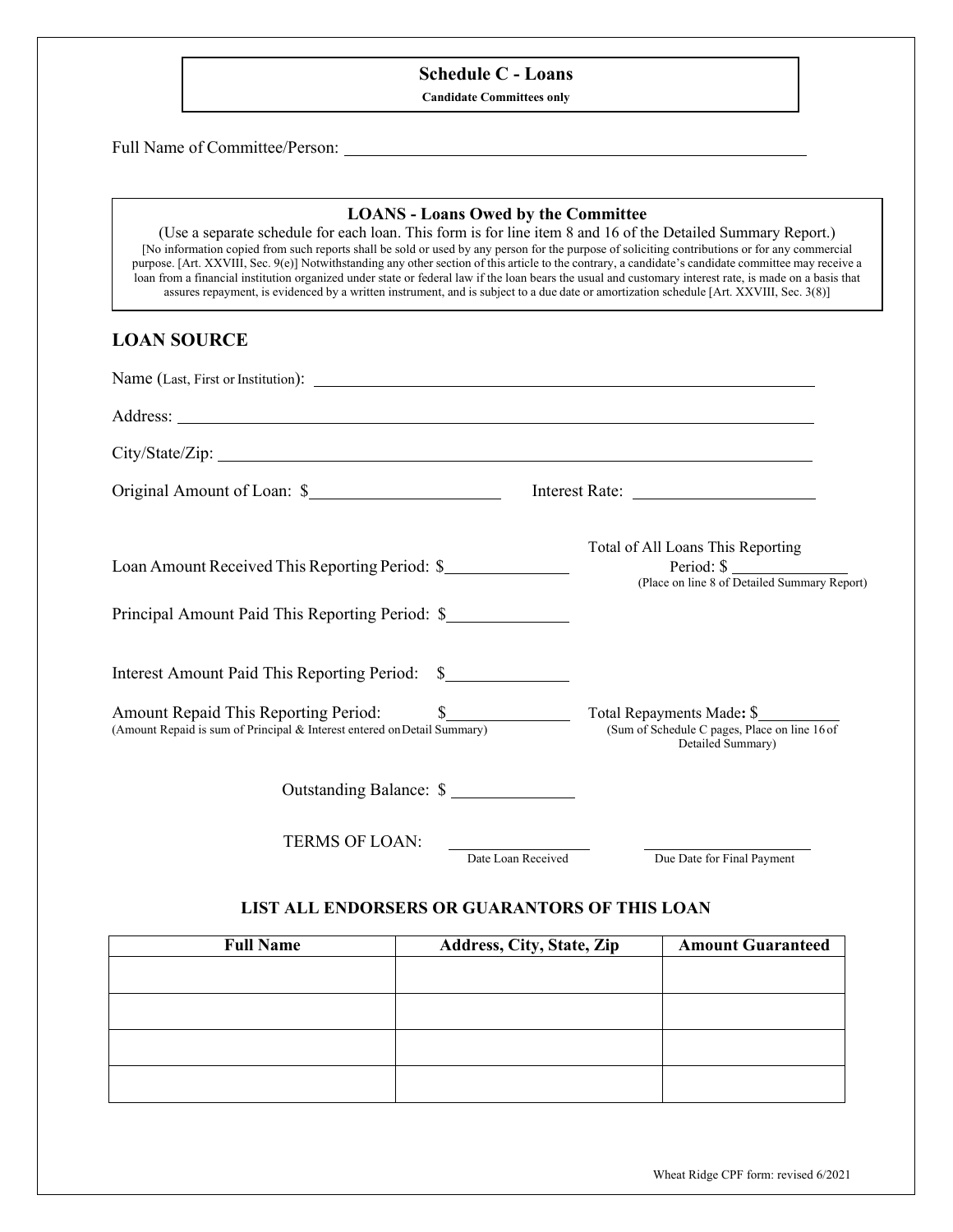# **Schedule C - Loans**

**Candidate Committees only**

Full Name of Committee/Person:

#### **LOANS - Loans Owed by the Committee**

(Use a separate schedule for each loan. This form is for line item 8 and 16 of the Detailed Summary Report.) [No information copied from such reports shall be sold or used by any person for the purpose of soliciting contributions or for any commercial purpose. [Art. XXVIII, Sec. 9(e)] Notwithstanding any other section of this article to the contrary, a candidate's candidate committee may receive a loan from a financial institution organized under state or federal law if the loan bears the usual and customary interest rate, is made on a basis that assures repayment, is evidenced by a written instrument, and is subject to a due date or amortization schedule [Art. XXVIII, Sec. 3(8)]

#### **LOAN SOURCE**

| Loan Amount Received This Reporting Period: \$                           |                    | Total of All Loans This Reporting<br>Period: $\frac{1}{2}$<br>(Place on line 8 of Detailed Summary Report) |
|--------------------------------------------------------------------------|--------------------|------------------------------------------------------------------------------------------------------------|
| Principal Amount Paid This Reporting Period: \$                          |                    |                                                                                                            |
| Interest Amount Paid This Reporting Period: \$                           |                    |                                                                                                            |
| (Amount Repaid is sum of Principal & Interest entered on Detail Summary) |                    | (Sum of Schedule C pages, Place on line 16 of<br>Detailed Summary)                                         |
| Outstanding Balance: \$                                                  |                    |                                                                                                            |
| TERMS OF LOAN:                                                           | Date Loan Received | Due Date for Final Payment                                                                                 |

#### **LIST ALL ENDORSERS OR GUARANTORS OF THIS LOAN**

| <b>Full Name</b> | Address, City, State, Zip | <b>Amount Guaranteed</b> |
|------------------|---------------------------|--------------------------|
|                  |                           |                          |
|                  |                           |                          |
|                  |                           |                          |
|                  |                           |                          |
|                  |                           |                          |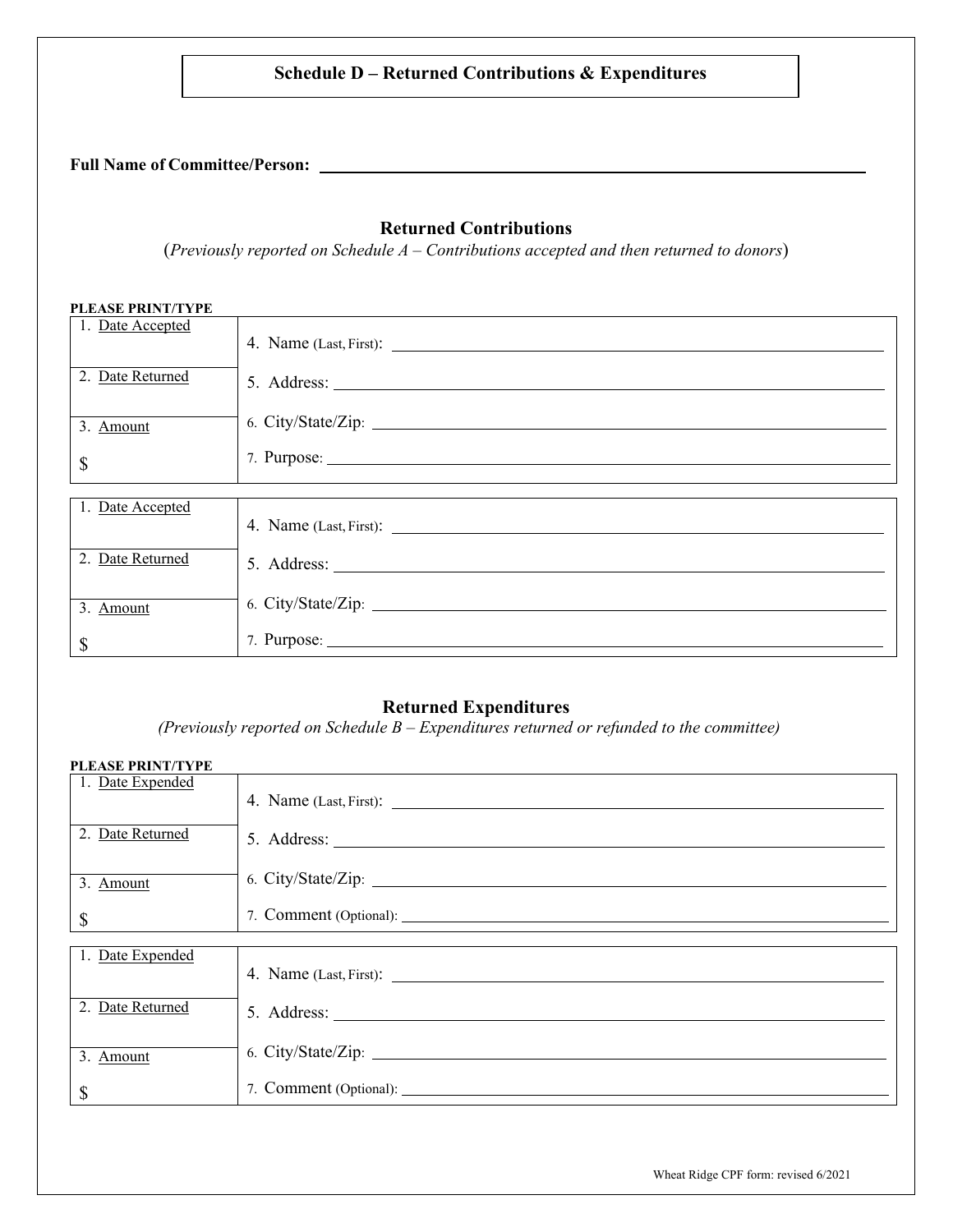# **Schedule D – Returned Contributions & Expenditures**

#### **Full Name of Committee/Person:**

# **Returned Contributions**

(*Previously reported on Schedule A – Contributions accepted and then returned to donors*)

| PLEASE PRINT/TYPE         |                    |
|---------------------------|--------------------|
| 1. Date Accepted          |                    |
| 2. Date Returned          |                    |
| 3. Amount                 | 6. City/State/Zip: |
| $\boldsymbol{\mathsf{S}}$ | 7. Purpose:        |
|                           |                    |
| 1. Date Accepted          |                    |
| 2. Date Returned          |                    |
| 3. Amount                 |                    |
| $\boldsymbol{\mathsf{S}}$ | 7. Purpose:        |

#### **Returned Expenditures**

*(Previously reported on Schedule B – Expenditures returned or refunded to the committee)*

#### **PLEASE PRINT/TYPE**

| 1. Date Expended          |                                        |
|---------------------------|----------------------------------------|
| 2. Date Returned          |                                        |
|                           |                                        |
| 3. Amount                 |                                        |
| $\boldsymbol{\mathsf{S}}$ | 7. Comment (Optional): <u>Campbell</u> |
| 1. Date Expended          |                                        |
|                           |                                        |
| 2. Date Returned          |                                        |
| 3. Amount                 | 6. City/State/Zip:                     |
| \$                        |                                        |